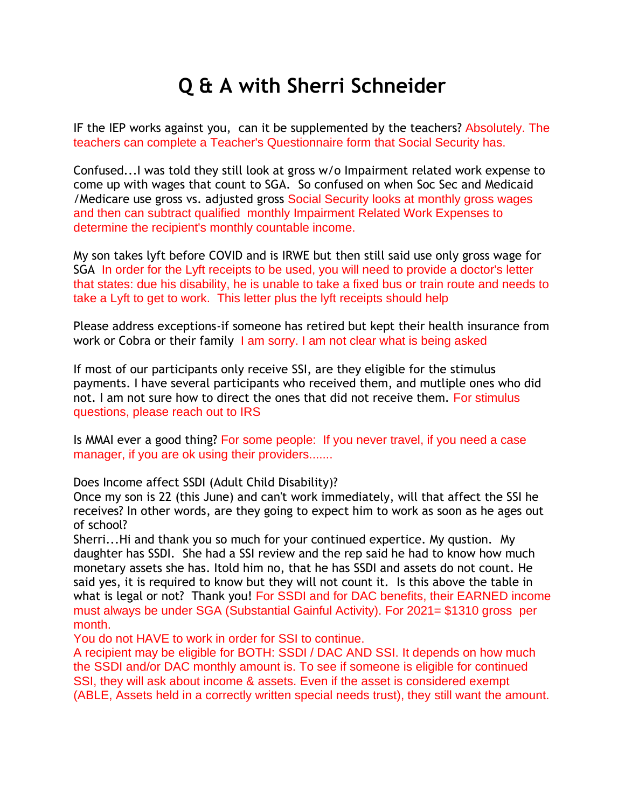## **Q & A with Sherri Schneider**

IF the IEP works against you, can it be supplemented by the teachers? Absolutely. The teachers can complete a Teacher's Questionnaire form that Social Security has.

Confused...I was told they still look at gross w/o Impairment related work expense to come up with wages that count to SGA. So confused on when Soc Sec and Medicaid /Medicare use gross vs. adjusted gross Social Security looks at monthly gross wages and then can subtract qualified monthly Impairment Related Work Expenses to determine the recipient's monthly countable income.

My son takes lyft before COVID and is IRWE but then still said use only gross wage for SGA In order for the Lyft receipts to be used, you will need to provide a doctor's letter that states: due his disability, he is unable to take a fixed bus or train route and needs to take a Lyft to get to work. This letter plus the lyft receipts should help

Please address exceptions-if someone has retired but kept their health insurance from work or Cobra or their family I am sorry. I am not clear what is being asked

If most of our participants only receive SSI, are they eligible for the stimulus payments. I have several participants who received them, and mutliple ones who did not. I am not sure how to direct the ones that did not receive them. For stimulus questions, please reach out to IRS

Is MMAI ever a good thing? For some people: If you never travel, if you need a case manager, if you are ok using their providers.......

Does Income affect SSDI (Adult Child Disability)?

Once my son is 22 (this June) and can't work immediately, will that affect the SSI he receives? In other words, are they going to expect him to work as soon as he ages out of school?

Sherri...Hi and thank you so much for your continued expertice. My qustion. My daughter has SSDI. She had a SSI review and the rep said he had to know how much monetary assets she has. Itold him no, that he has SSDI and assets do not count. He said yes, it is required to know but they will not count it. Is this above the table in what is legal or not? Thank you! For SSDI and for DAC benefits, their EARNED income must always be under SGA (Substantial Gainful Activity). For 2021= \$1310 gross per month.

You do not HAVE to work in order for SSI to continue.

A recipient may be eligible for BOTH: SSDI / DAC AND SSI. It depends on how much the SSDI and/or DAC monthly amount is. To see if someone is eligible for continued SSI, they will ask about income & assets. Even if the asset is considered exempt (ABLE, Assets held in a correctly written special needs trust), they still want the amount.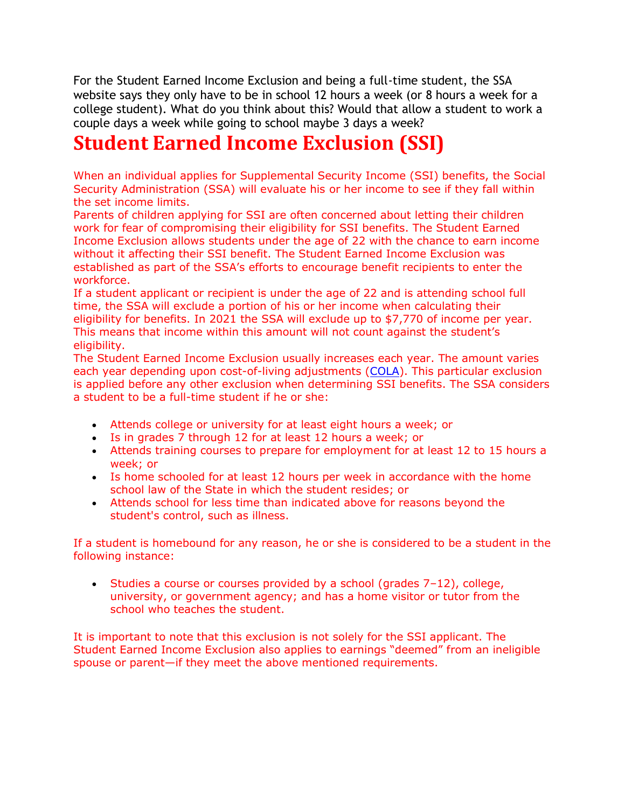For the Student Earned Income Exclusion and being a full-time student, the SSA website says they only have to be in school 12 hours a week (or 8 hours a week for a college student). What do you think about this? Would that allow a student to work a couple days a week while going to school maybe 3 days a week?

## **Student Earned Income Exclusion (SSI)**

When an individual applies for Supplemental Security Income (SSI) benefits, the Social Security Administration (SSA) will evaluate his or her income to see if they fall within the set income limits.

Parents of children applying for SSI are often concerned about letting their children work for fear of compromising their eligibility for SSI benefits. The Student Earned Income Exclusion allows students under the age of 22 with the chance to earn income without it affecting their SSI benefit. The Student Earned Income Exclusion was established as part of the SSA's efforts to encourage benefit recipients to enter the workforce.

If a student applicant or recipient is under the age of 22 and is attending school full time, the SSA will exclude a portion of his or her income when calculating their eligibility for benefits. In 2021 the SSA will exclude up to \$7,770 of income per year. This means that income within this amount will not count against the student's eligibility.

The Student Earned Income Exclusion usually increases each year. The amount varies each year depending upon cost-of-living adjustments [\(COLA\)](http://www.disability-benefits-help.org/glossary/social-security-disability-cost-living-adjustment). This particular exclusion is applied before any other exclusion when determining SSI benefits. The SSA considers a student to be a full-time student if he or she:

- Attends college or university for at least eight hours a week; or
- Is in grades 7 through 12 for at least 12 hours a week; or
- Attends training courses to prepare for employment for at least 12 to 15 hours a week; or
- Is home schooled for at least 12 hours per week in accordance with the home school law of the State in which the student resides; or
- Attends school for less time than indicated above for reasons beyond the student's control, such as illness.

If a student is homebound for any reason, he or she is considered to be a student in the following instance:

• Studies a course or courses provided by a school (grades  $7-12$ ), college, university, or government agency; and has a home visitor or tutor from the school who teaches the student.

It is important to note that this exclusion is not solely for the SSI applicant. The Student Earned Income Exclusion also applies to earnings "deemed" from an ineligible spouse or parent—if they meet the above mentioned requirements.